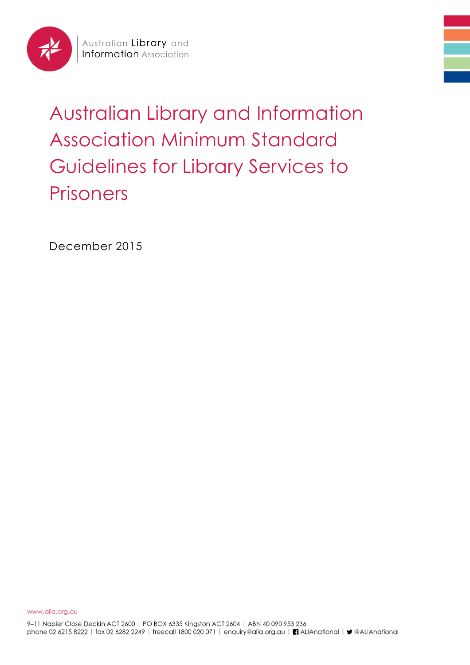

# Australian Library and Information Association Minimum Standard Guidelines for Library Services to Prisoners

December 2015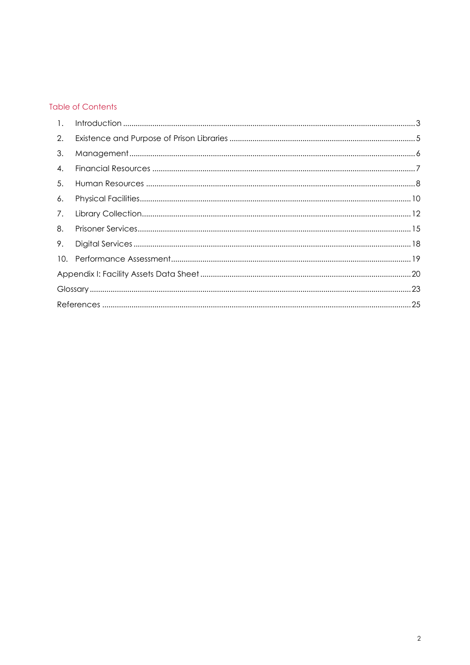#### **Table of Contents**

| $\mathbf{1}$ . |  |
|----------------|--|
| 2.             |  |
| 3.             |  |
| 4.             |  |
| 5.             |  |
| 6.             |  |
| 7.             |  |
| 8.             |  |
| 9.             |  |
| 10.            |  |
|                |  |
|                |  |
|                |  |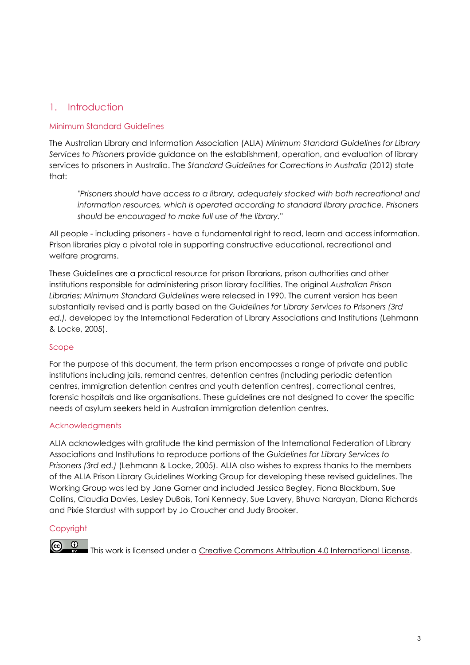# <span id="page-2-0"></span>1. Introduction

#### Minimum Standard Guidelines

The Australian Library and Information Association (ALIA) *Minimum Standard Guidelines for Library Services to Prisoners* provide guidance on the establishment, operation, and evaluation of library services to prisoners in Australia. The *Standard Guidelines for Corrections in Australia* (2012) state that:

*"Prisoners should have access to a library, adequately stocked with both recreational and information resources, which is operated according to standard library practice. Prisoners should be encouraged to make full use of the library."*

All people - including prisoners - have a fundamental right to read, learn and access information. Prison libraries play a pivotal role in supporting constructive educational, recreational and welfare programs.

These Guidelines are a practical resource for prison librarians, prison authorities and other institutions responsible for administering prison library facilities. The original *Australian Prison Libraries: Minimum Standard Guidelines* were released in 1990. The current version has been substantially revised and is partly based on the *Guidelines for Library Services to Prisoners (3rd ed.),* developed by the International Federation of Library Associations and Institutions (Lehmann & Locke, 2005).

#### Scope

For the purpose of this document, the term prison encompasses a range of private and public institutions including jails, remand centres, detention centres (including periodic detention centres, immigration detention centres and youth detention centres), correctional centres, forensic hospitals and like organisations. These guidelines are not designed to cover the specific needs of asylum seekers held in Australian immigration detention centres.

#### Acknowledgments

ALIA acknowledges with gratitude the kind permission of the International Federation of Library Associations and Institutions to reproduce portions of the *Guidelines for Library Services to Prisoners (3rd ed.)* (Lehmann & Locke, 2005). ALIA also wishes to express thanks to the members of the ALIA Prison Library Guidelines Working Group for developing these revised guidelines. The Working Group was led by Jane Garner and included Jessica Begley, Fiona Blackburn, Sue Collins, Claudia Davies, Lesley DuBois, Toni Kennedy, Sue Lavery, Bhuva Narayan, Diana Richards and Pixie Stardust with support by Jo Croucher and Judy Brooker.

## **Copyright**

 $\circledcirc$ This work is licensed under a [Creative Commons Attribution 4.0 International License.](http://creativecommons.org/licenses/by/4.0/)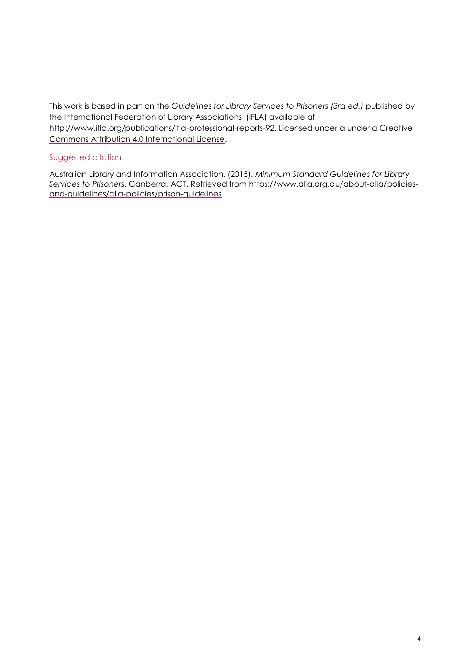This work is based in part on the *Guidelines for Library Services to Prisoners (3rd ed.)* published by the International Federation of Library Associations (IFLA) available at http://www.ifla.org/publications/ifla-professional-reports-92. Licensed under a under a Creative [Commons Attribution 4.0 International License.](http://creativecommons.org/licenses/by/4.0/)

#### Suggested citation

Australian Library and Information Association. (2015). *Minimum Standard Guidelines for Library Services to Prisoners*. Canberra, ACT. Retrieved from https://www.alia.org.au/about-alia/policiesand-guidelines/alia-policies/prison-guidelines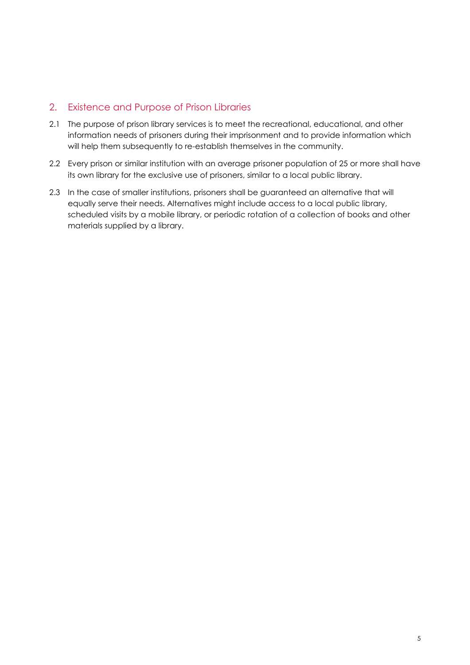## <span id="page-4-0"></span>2. Existence and Purpose of Prison Libraries

- 2.1 The purpose of prison library services is to meet the recreational, educational, and other information needs of prisoners during their imprisonment and to provide information which will help them subsequently to re-establish themselves in the community.
- 2.2 Every prison or similar institution with an average prisoner population of 25 or more shall have its own library for the exclusive use of prisoners, similar to a local public library.
- 2.3 In the case of smaller institutions, prisoners shall be guaranteed an alternative that will equally serve their needs. Alternatives might include access to a local public library, scheduled visits by a mobile library, or periodic rotation of a collection of books and other materials supplied by a library.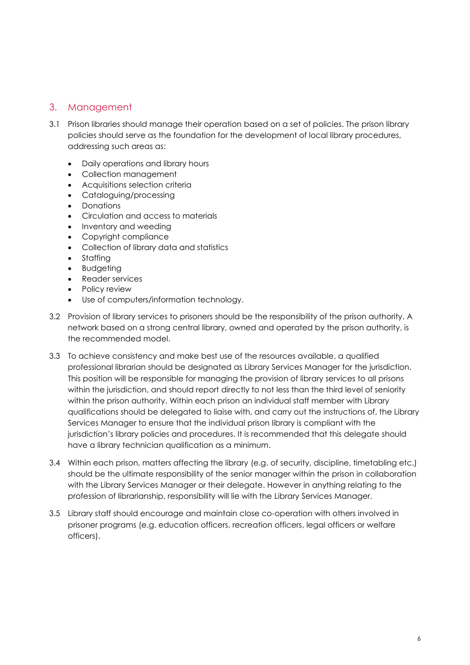# <span id="page-5-0"></span>3. Management

- 3.1 Prison libraries should manage their operation based on a set of policies. The prison library policies should serve as the foundation for the development of local library procedures, addressing such areas as:
	- Daily operations and library hours
	- Collection management
	- Acquisitions selection criteria
	- Cataloguing/processing
	- Donations
	- Circulation and access to materials
	- Inventory and weeding
	- Copyright compliance
	- Collection of library data and statistics
	- Staffing
	- Budgeting
	- Reader services
	- Policy review
	- Use of computers/information technology.
- 3.2 Provision of library services to prisoners should be the responsibility of the prison authority. A network based on a strong central library, owned and operated by the prison authority, is the recommended model.
- 3.3 To achieve consistency and make best use of the resources available, a qualified professional librarian should be designated as Library Services Manager for the jurisdiction. This position will be responsible for managing the provision of library services to all prisons within the jurisdiction, and should report directly to not less than the third level of seniority within the prison authority. Within each prison an individual staff member with Library qualifications should be delegated to liaise with, and carry out the instructions of, the Library Services Manager to ensure that the individual prison library is compliant with the jurisdiction's library policies and procedures. It is recommended that this delegate should have a library technician qualification as a minimum.
- 3.4 Within each prison, matters affecting the library (e.g. of security, discipline, timetabling etc.) should be the ultimate responsibility of the senior manager within the prison in collaboration with the Library Services Manager or their delegate. However in anything relating to the profession of librarianship, responsibility will lie with the Library Services Manager.
- 3.5 Library staff should encourage and maintain close co-operation with others involved in prisoner programs (e.g. education officers, recreation officers, legal officers or welfare officers).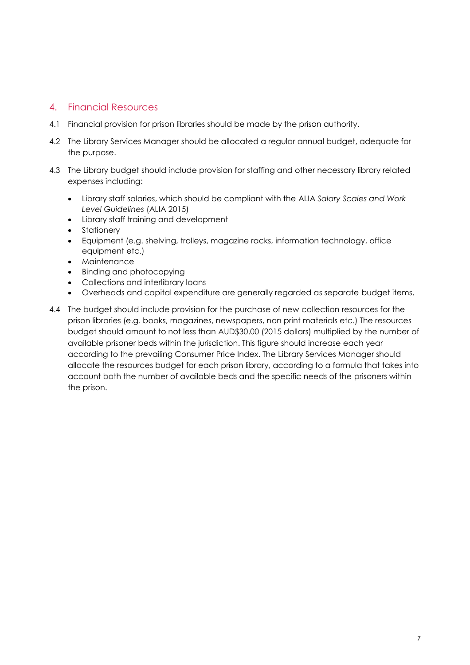## <span id="page-6-0"></span>4. Financial Resources

- 4.1 Financial provision for prison libraries should be made by the prison authority.
- 4.2 The Library Services Manager should be allocated a regular annual budget, adequate for the purpose.
- 4.3 The Library budget should include provision for staffing and other necessary library related expenses including:
	- Library staff salaries, which should be compliant with the ALIA *Salary Scales and Work Level Guidelines* (ALIA 2015)
	- Library staff training and development
	- Stationery
	- Equipment (e.g. shelving, trolleys, magazine racks, information technology, office equipment etc.)
	- Maintenance
	- Binding and photocopying
	- Collections and interlibrary loans
	- Overheads and capital expenditure are generally regarded as separate budget items.
- 4.4 The budget should include provision for the purchase of new collection resources for the prison libraries (e.g. books, magazines, newspapers, non print materials etc.) The resources budget should amount to not less than AUD\$30.00 (2015 dollars) multiplied by the number of available prisoner beds within the jurisdiction. This figure should increase each year according to the prevailing Consumer Price Index. The Library Services Manager should allocate the resources budget for each prison library, according to a formula that takes into account both the number of available beds and the specific needs of the prisoners within the prison.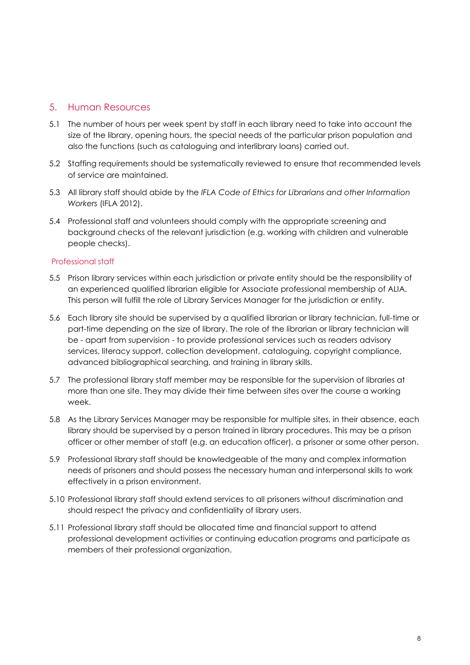## <span id="page-7-0"></span>5. Human Resources

- 5.1 The number of hours per week spent by staff in each library need to take into account the size of the library, opening hours, the special needs of the particular prison population and also the functions (such as cataloguing and interlibrary loans) carried out.
- 5.2 Staffing requirements should be systematically reviewed to ensure that recommended levels of service are maintained.
- 5.3 All library staff should abide by the *IFLA Code of Ethics for Librarians and other Information Workers* (IFLA 2012).
- 5.4 Professional staff and volunteers should comply with the appropriate screening and background checks of the relevant jurisdiction (e.g. working with children and vulnerable people checks).

#### Professional staff

- 5.5 Prison library services within each jurisdiction or private entity should be the responsibility of an experienced qualified librarian eligible for Associate professional membership of ALIA. This person will fulfill the role of Library Services Manager for the jurisdiction or entity.
- 5.6 Each library site should be supervised by a qualified librarian or library technician, full-time or part-time depending on the size of library. The role of the librarian or library technician will be - apart from supervision - to provide professional services such as readers advisory services, literacy support, collection development, cataloguing, copyright compliance, advanced bibliographical searching, and training in library skills.
- 5.7 The professional library staff member may be responsible for the supervision of libraries at more than one site. They may divide their time between sites over the course a working week.
- 5.8 As the Library Services Manager may be responsible for multiple sites, in their absence, each library should be supervised by a person trained in library procedures. This may be a prison officer or other member of staff (e.g. an education officer), a prisoner or some other person.
- 5.9 Professional library staff should be knowledgeable of the many and complex information needs of prisoners and should possess the necessary human and interpersonal skills to work effectively in a prison environment.
- 5.10 Professional library staff should extend services to all prisoners without discrimination and should respect the privacy and confidentiality of library users.
- 5.11 Professional library staff should be allocated time and financial support to attend professional development activities or continuing education programs and participate as members of their professional organization.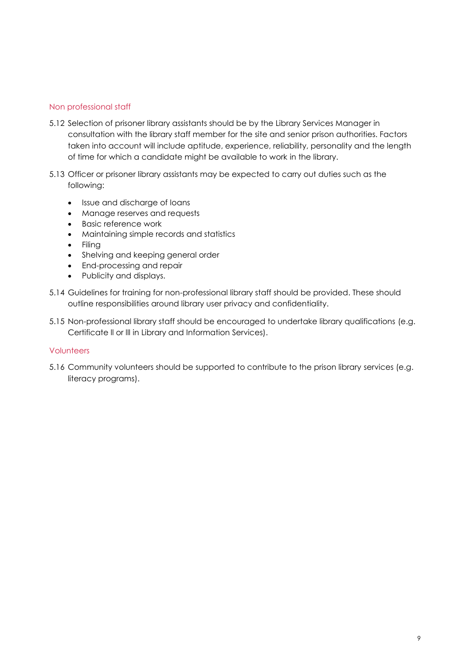#### Non professional staff

- 5.12 Selection of prisoner library assistants should be by the Library Services Manager in consultation with the library staff member for the site and senior prison authorities. Factors taken into account will include aptitude, experience, reliability, personality and the length of time for which a candidate might be available to work in the library.
- 5.13 Officer or prisoner library assistants may be expected to carry out duties such as the following:
	- Issue and discharge of loans
	- Manage reserves and requests
	- Basic reference work
	- Maintaining simple records and statistics
	- Filing
	- Shelving and keeping general order
	- End-processing and repair
	- Publicity and displays.
- 5.14 Guidelines for training for non-professional library staff should be provided. These should outline responsibilities around library user privacy and confidentiality.
- 5.15 Non-professional library staff should be encouraged to undertake library qualifications (e.g. Certificate ll or lll in Library and Information Services).

#### **Volunteers**

5.16 Community volunteers should be supported to contribute to the prison library services (e.g. literacy programs).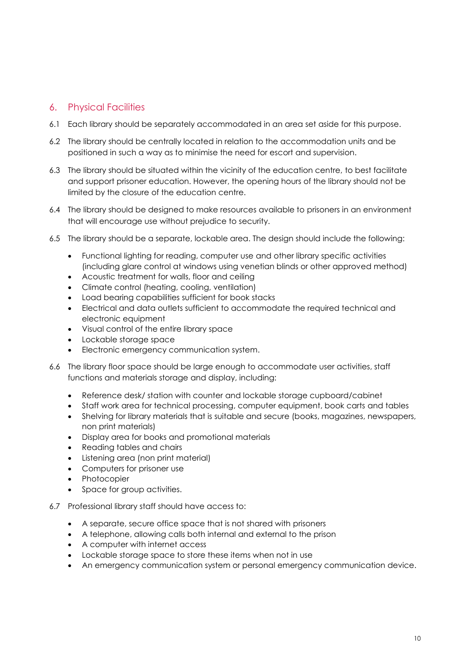# <span id="page-9-0"></span>6. Physical Facilities

- 6.1 Each library should be separately accommodated in an area set aside for this purpose.
- 6.2 The library should be centrally located in relation to the accommodation units and be positioned in such a way as to minimise the need for escort and supervision.
- 6.3 The library should be situated within the vicinity of the education centre, to best facilitate and support prisoner education. However, the opening hours of the library should not be limited by the closure of the education centre.
- 6.4 The library should be designed to make resources available to prisoners in an environment that will encourage use without prejudice to security.
- 6.5 The library should be a separate, lockable area. The design should include the following:
	- Functional lighting for reading, computer use and other library specific activities (including glare control at windows using venetian blinds or other approved method)
	- Acoustic treatment for walls, floor and ceiling
	- Climate control (heating, cooling, ventilation)
	- Load bearing capabilities sufficient for book stacks
	- Electrical and data outlets sufficient to accommodate the required technical and electronic equipment
	- Visual control of the entire library space
	- Lockable storage space
	- Electronic emergency communication system.
- 6.6 The library floor space should be large enough to accommodate user activities, staff functions and materials storage and display, including:
	- Reference desk/ station with counter and lockable storage cupboard/cabinet
	- Staff work area for technical processing, computer equipment, book carts and tables
	- Shelving for library materials that is suitable and secure (books, magazines, newspapers, non print materials)
	- Display area for books and promotional materials
	- Reading tables and chairs
	- Listening area (non print material)
	- Computers for prisoner use
	- Photocopier
	- Space for group activities.
- 6.7 Professional library staff should have access to:
	- A separate, secure office space that is not shared with prisoners
	- A telephone, allowing calls both internal and external to the prison
	- A computer with internet access
	- Lockable storage space to store these items when not in use
	- An emergency communication system or personal emergency communication device.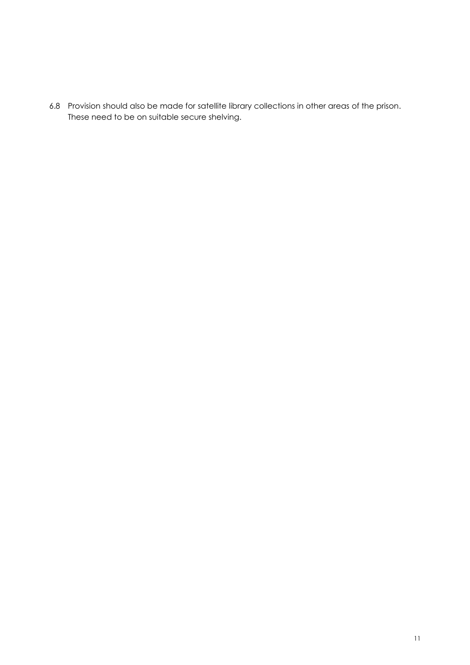6.8 Provision should also be made for satellite library collections in other areas of the prison. These need to be on suitable secure shelving.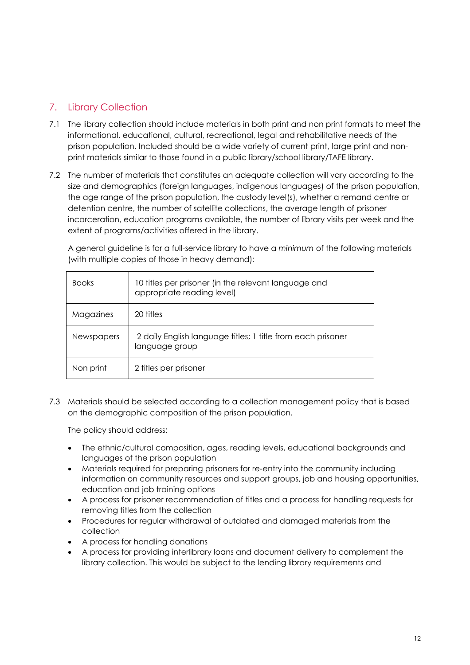# <span id="page-11-0"></span>7. Library Collection

- 7.1 The library collection should include materials in both print and non print formats to meet the informational, educational, cultural, recreational, legal and rehabilitative needs of the prison population. Included should be a wide variety of current print, large print and nonprint materials similar to those found in a public library/school library/TAFE library.
- 7.2 The number of materials that constitutes an adequate collection will vary according to the size and demographics (foreign languages, indigenous languages) of the prison population, the age range of the prison population, the custody level(s), whether a remand centre or detention centre, the number of satellite collections, the average length of prisoner incarceration, education programs available, the number of library visits per week and the extent of programs/activities offered in the library.

A general guideline is for a full-service library to have a *minimum* of the following materials (with multiple copies of those in heavy demand):

| <b>Books</b>      | 10 titles per prisoner (in the relevant language and<br>appropriate reading level) |
|-------------------|------------------------------------------------------------------------------------|
| Magazines         | 20 titles                                                                          |
| <b>Newspapers</b> | 2 daily English language titles; 1 title from each prisoner<br>language group      |
| Non print         | 2 titles per prisoner                                                              |

7.3 Materials should be selected according to a collection management policy that is based on the demographic composition of the prison population.

The policy should address:

- The ethnic/cultural composition, ages, reading levels, educational backgrounds and languages of the prison population
- Materials required for preparing prisoners for re-entry into the community including information on community resources and support groups, job and housing opportunities, education and job training options
- A process for prisoner recommendation of titles and a process for handling requests for removing titles from the collection
- Procedures for regular withdrawal of outdated and damaged materials from the collection
- A process for handling donations
- A process for providing interlibrary loans and document delivery to complement the library collection. This would be subject to the lending library requirements and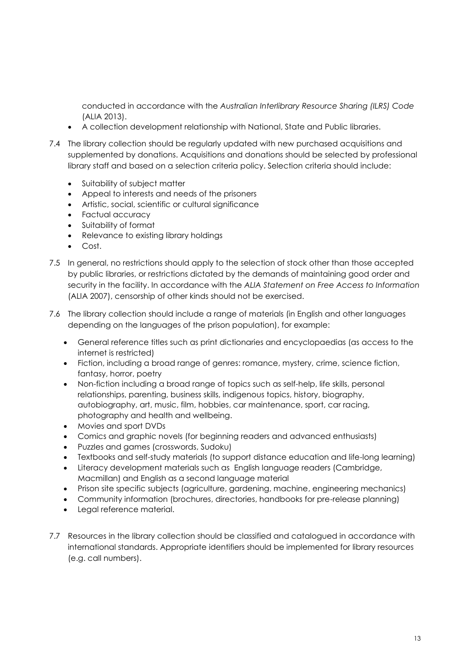conducted in accordance with the *Australian Interlibrary Resource Sharing (ILRS) Code* (ALIA 2013).

- A collection development relationship with National, State and Public libraries.
- 7.4 The library collection should be regularly updated with new purchased acquisitions and supplemented by donations. Acquisitions and donations should be selected by professional library staff and based on a selection criteria policy. Selection criteria should include:
	- Suitability of subject matter
	- Appeal to interests and needs of the prisoners
	- Artistic, social, scientific or cultural significance
	- Factual accuracy
	- Suitability of format
	- Relevance to existing library holdings
	- Cost.
- 7.5 In general, no restrictions should apply to the selection of stock other than those accepted by public libraries, or restrictions dictated by the demands of maintaining good order and security in the facility. In accordance with the *ALIA Statement on Free Access to Information* (ALIA 2007), censorship of other kinds should not be exercised.
- 7.6 The library collection should include a range of materials (in English and other languages depending on the languages of the prison population), for example:
	- General reference titles such as print dictionaries and encyclopaedias (as access to the internet is restricted)
	- Fiction, including a broad range of genres: romance, mystery, crime, science fiction, fantasy, horror, poetry
	- Non-fiction including a broad range of topics such as self-help, life skills, personal relationships, parenting, business skills, indigenous topics, history, biography, autobiography, art, music, film, hobbies, car maintenance, sport, car racing, photography and health and wellbeing.
	- Movies and sport DVDs
	- Comics and graphic novels (for beginning readers and advanced enthusiasts)
	- Puzzles and games (crosswords, Sudoku)
	- Textbooks and self-study materials (to support distance education and life-long learning)
	- Literacy development materials such as English language readers (Cambridge, Macmillan) and English as a second language material
	- Prison site specific subjects (agriculture, gardening, machine, engineering mechanics)
	- Community information (brochures, directories, handbooks for pre-release planning)
	- Legal reference material.
- 7.7 Resources in the library collection should be classified and catalogued in accordance with international standards. Appropriate identifiers should be implemented for library resources (e.g. call numbers).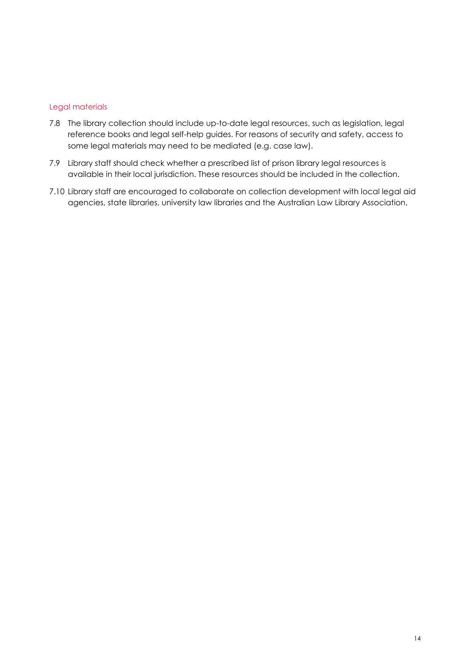#### Legal materials

- 7.8 The library collection should include up-to-date legal resources, such as legislation, legal reference books and legal self-help guides. For reasons of security and safety, access to some legal materials may need to be mediated (e.g. case law).
- 7.9 Library staff should check whether a prescribed list of prison library legal resources is available in their local jurisdiction. These resources should be included in the collection.
- 7.10 Library staff are encouraged to collaborate on collection development with local legal aid agencies, state libraries, university law libraries and the Australian Law Library Association.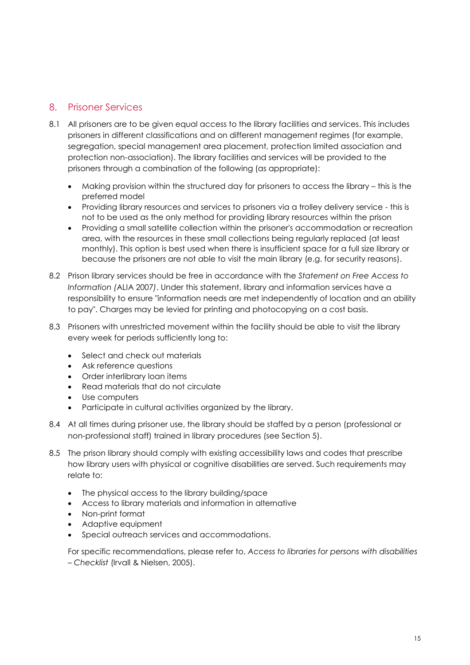# <span id="page-14-0"></span>8. Prisoner Services

- 8.1 All prisoners are to be given equal access to the library facilities and services. This includes prisoners in different classifications and on different management regimes (for example, segregation, special management area placement, protection limited association and protection non-association). The library facilities and services will be provided to the prisoners through a combination of the following (as appropriate):
	- Making provision within the structured day for prisoners to access the library this is the preferred model
	- Providing library resources and services to prisoners via a trolley delivery service this is not to be used as the only method for providing library resources within the prison
	- Providing a small satellite collection within the prisoner's accommodation or recreation area, with the resources in these small collections being regularly replaced (at least monthly). This option is best used when there is insufficient space for a full size library or because the prisoners are not able to visit the main library (e.g. for security reasons).
- 8.2 Prison library services should be free in accordance with the *Statement on Free Access to Information (*ALIA 2007*)*. Under this statement, library and information services have a responsibility to ensure "information needs are met independently of location and an ability to pay". Charges may be levied for printing and photocopying on a cost basis.
- 8.3 Prisoners with unrestricted movement within the facility should be able to visit the library every week for periods sufficiently long to:
	- Select and check out materials
	- Ask reference questions
	- Order interlibrary loan items
	- Read materials that do not circulate
	- Use computers
	- Participate in cultural activities organized by the library.
- 8.4 At all times during prisoner use, the library should be staffed by a person (professional or non-professional staff) trained in library procedures (see Section 5).
- 8.5 The prison library should comply with existing accessibility laws and codes that prescribe how library users with physical or cognitive disabilities are served. Such requirements may relate to:
	- The physical access to the library building/space
	- Access to library materials and information in alternative
	- Non-print format
	- Adaptive equipment
	- Special outreach services and accommodations.

For specific recommendations, please refer to, *Access to libraries for persons with disabilities – Checklist* (Irvall & Nielsen, 2005).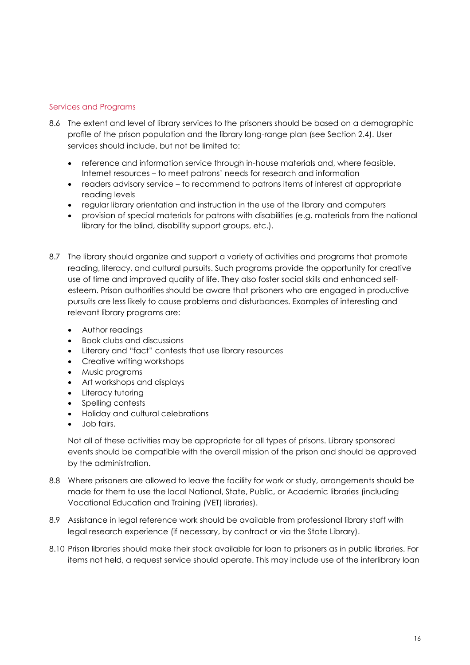#### Services and Programs

- 8.6 The extent and level of library services to the prisoners should be based on a demographic profile of the prison population and the library long-range plan (see Section 2.4). User services should include, but not be limited to:
	- reference and information service through in-house materials and, where feasible, Internet resources – to meet patrons' needs for research and information
	- readers advisory service to recommend to patrons items of interest at appropriate reading levels
	- regular library orientation and instruction in the use of the library and computers
	- provision of special materials for patrons with disabilities (e.g. materials from the national library for the blind, disability support groups, etc.).
- 8.7 The library should organize and support a variety of activities and programs that promote reading, literacy, and cultural pursuits. Such programs provide the opportunity for creative use of time and improved quality of life. They also foster social skills and enhanced selfesteem. Prison authorities should be aware that prisoners who are engaged in productive pursuits are less likely to cause problems and disturbances. Examples of interesting and relevant library programs are:
	- Author readings
	- Book clubs and discussions
	- Literary and "fact" contests that use library resources
	- Creative writing workshops
	- Music programs
	- Art workshops and displays
	- Literacy tutoring
	- Spelling contests
	- Holiday and cultural celebrations
	- Job fairs.

Not all of these activities may be appropriate for all types of prisons. Library sponsored events should be compatible with the overall mission of the prison and should be approved by the administration.

- 8.8 Where prisoners are allowed to leave the facility for work or study, arrangements should be made for them to use the local National, State, Public, or Academic libraries (including Vocational Education and Training (VET) libraries).
- 8.9 Assistance in legal reference work should be available from professional library staff with legal research experience (if necessary, by contract or via the State Library).
- 8.10 Prison libraries should make their stock available for loan to prisoners as in public libraries. For items not held, a request service should operate. This may include use of the interlibrary loan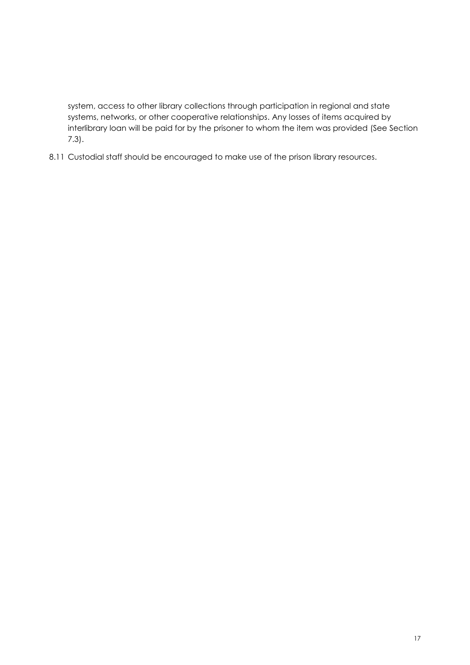system, access to other library collections through participation in regional and state systems, networks, or other cooperative relationships. Any losses of items acquired by interlibrary loan will be paid for by the prisoner to whom the item was provided (See Section 7.3).

8.11 Custodial staff should be encouraged to make use of the prison library resources.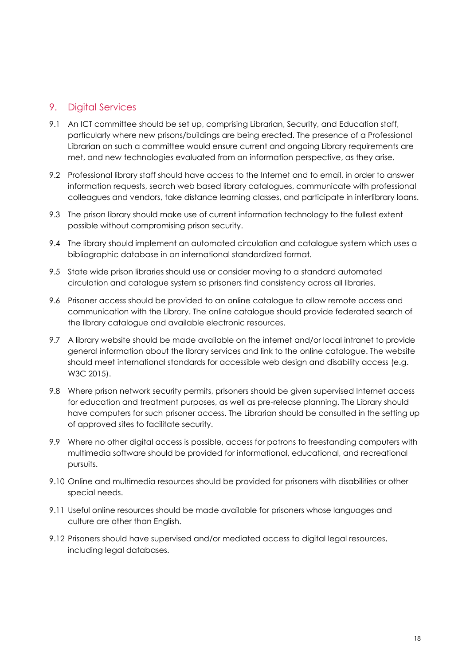## <span id="page-17-0"></span>9. Digital Services

- 9.1 An ICT committee should be set up, comprising Librarian, Security, and Education staff, particularly where new prisons/buildings are being erected. The presence of a Professional Librarian on such a committee would ensure current and ongoing Library requirements are met, and new technologies evaluated from an information perspective, as they arise.
- 9.2 Professional library staff should have access to the Internet and to email, in order to answer information requests, search web based library catalogues, communicate with professional colleagues and vendors, take distance learning classes, and participate in interlibrary loans.
- 9.3 The prison library should make use of current information technology to the fullest extent possible without compromising prison security.
- 9.4 The library should implement an automated circulation and catalogue system which uses a bibliographic database in an international standardized format.
- 9.5 State wide prison libraries should use or consider moving to a standard automated circulation and catalogue system so prisoners find consistency across all libraries.
- 9.6 Prisoner access should be provided to an online catalogue to allow remote access and communication with the Library. The online catalogue should provide federated search of the library catalogue and available electronic resources.
- 9.7 A library website should be made available on the internet and/or local intranet to provide general information about the library services and link to the online catalogue. The website should meet international standards for accessible web design and disability access (e.g. W3C 2015).
- 9.8 Where prison network security permits, prisoners should be given supervised Internet access for education and treatment purposes, as well as pre-release planning. The Library should have computers for such prisoner access. The Librarian should be consulted in the setting up of approved sites to facilitate security.
- 9.9 Where no other digital access is possible, access for patrons to freestanding computers with multimedia software should be provided for informational, educational, and recreational pursuits.
- 9.10 Online and multimedia resources should be provided for prisoners with disabilities or other special needs.
- 9.11 Useful online resources should be made available for prisoners whose languages and culture are other than English.
- 9.12 Prisoners should have supervised and/or mediated access to digital legal resources, including legal databases.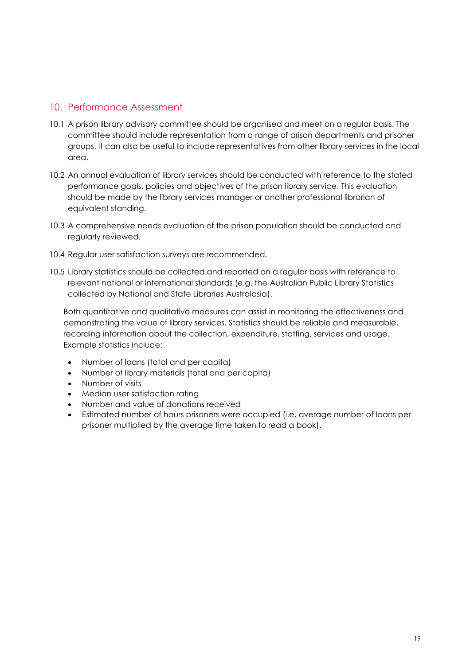## <span id="page-18-0"></span>10. Performance Assessment

- 10.1 A prison library advisory committee should be organised and meet on a regular basis. The committee should include representation from a range of prison departments and prisoner groups. It can also be useful to include representatives from other library services in the local area.
- 10.2 An annual evaluation of library services should be conducted with reference to the stated performance goals, policies and objectives of the prison library service. This evaluation should be made by the library services manager or another professional librarian of equivalent standing.
- 10.3 A comprehensive needs evaluation of the prison population should be conducted and regularly reviewed.
- 10.4 Regular user satisfaction surveys are recommended.
- 10.5 Library statistics should be collected and reported on a regular basis with reference to relevant national or international standards (e.g. the Australian Public Library Statistics collected by National and State Libraries Australasia).

Both quantitative and qualitative measures can assist in monitoring the effectiveness and demonstrating the value of library services. Statistics should be reliable and measurable, recording information about the collection, expenditure, staffing, services and usage. Example statistics include:

- Number of loans (total and per capita)
- Number of library materials (total and per capita)
- Number of visits
- Median user satisfaction rating
- Number and value of donations received
- Estimated number of hours prisoners were occupied (i.e. average number of loans per prisoner multiplied by the average time taken to read a book).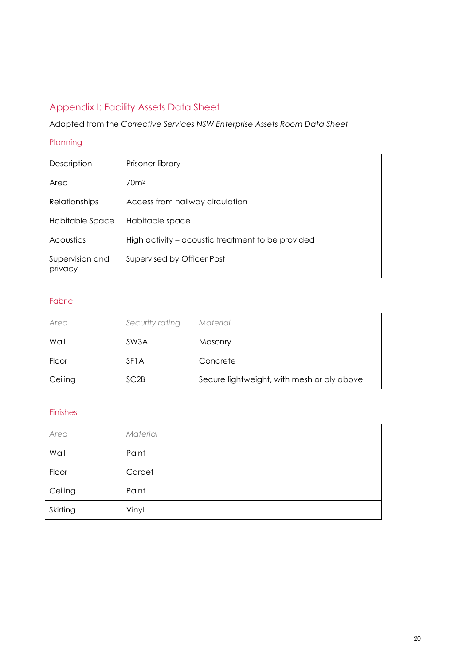# <span id="page-19-0"></span>Appendix I: Facility Assets Data Sheet

# Adapted from the *Corrective Services NSW Enterprise Assets Room Data Sheet*

#### Planning

| Description                | Prisoner library                                  |
|----------------------------|---------------------------------------------------|
| Area                       | 70 <sup>m²</sup>                                  |
| <b>Relationships</b>       | Access from hallway circulation                   |
| Habitable Space            | Habitable space                                   |
| Acoustics                  | High activity – acoustic treatment to be provided |
| Supervision and<br>privacy | Supervised by Officer Post                        |

#### Fabric

| Area    | Security rating   | Material                                   |
|---------|-------------------|--------------------------------------------|
| Wall    | SW3A              | Masonry                                    |
| Floor   | SF <sub>1</sub> A | Concrete                                   |
| Ceiling | SC <sub>2</sub> B | Secure lightweight, with mesh or ply above |

## Finishes

| Area     | Material |
|----------|----------|
| Wall     | Paint    |
| Floor    | Carpet   |
| Ceiling  | Paint    |
| Skirting | Vinyl    |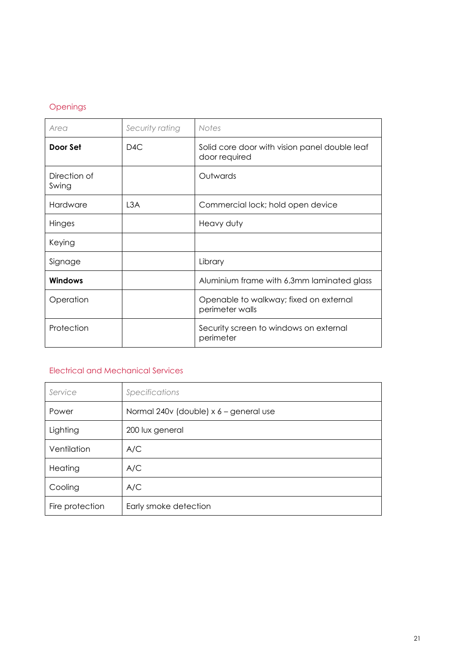## Openings

| Area                  | Security rating | <b>Notes</b>                                                   |
|-----------------------|-----------------|----------------------------------------------------------------|
| Door Set              | D4C             | Solid core door with vision panel double leaf<br>door required |
| Direction of<br>Swing |                 | Outwards                                                       |
| Hardware              | L3A             | Commercial lock; hold open device                              |
| Hinges                |                 | Heavy duty                                                     |
| Keying                |                 |                                                                |
| Signage               |                 | Library                                                        |
| Windows               |                 | Aluminium frame with 6.3mm laminated glass                     |
| Operation             |                 | Openable to walkway; fixed on external<br>perimeter walls      |
| Protection            |                 | Security screen to windows on external<br>perimeter            |

## Electrical and Mechanical Services

| Service         | Specifications                         |
|-----------------|----------------------------------------|
| Power           | Normal 240v (double) x 6 - general use |
| Lighting        | 200 lux general                        |
| Ventilation     | A/C                                    |
| Heating         | A/C                                    |
| Cooling         | A/C                                    |
| Fire protection | Early smoke detection                  |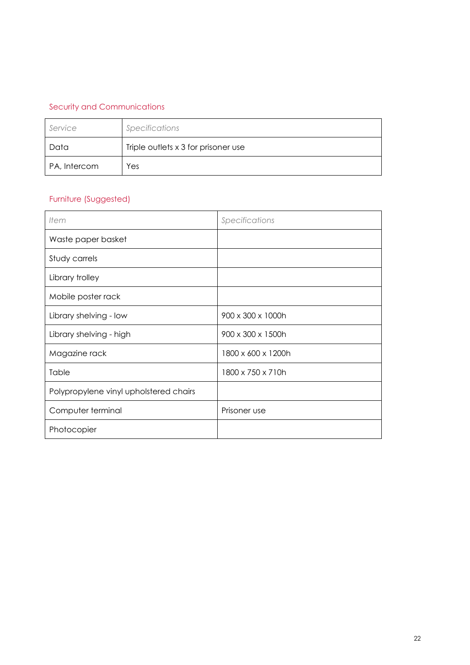# Security and Communications

| Service      | Specifications                      |
|--------------|-------------------------------------|
| Data         | Triple outlets x 3 for prisoner use |
| PA, Intercom | Yes                                 |

# Furniture (Suggested)

| Item                                   | Specifications     |
|----------------------------------------|--------------------|
| Waste paper basket                     |                    |
| Study carrels                          |                    |
| Library trolley                        |                    |
| Mobile poster rack                     |                    |
| Library shelving - low                 | 900 x 300 x 1000h  |
| Library shelving - high                | 900 x 300 x 1500h  |
| Magazine rack                          | 1800 x 600 x 1200h |
| Table                                  | 1800 x 750 x 710h  |
| Polypropylene vinyl upholstered chairs |                    |
| Computer terminal                      | Prisoner use       |
| Photocopier                            |                    |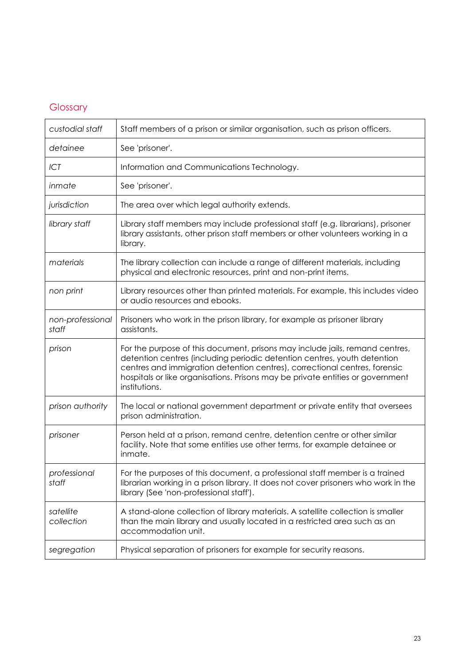# <span id="page-22-0"></span>Glossary

| custodial staff           | Staff members of a prison or similar organisation, such as prison officers.                                                                                                                                                                                                                                                               |
|---------------------------|-------------------------------------------------------------------------------------------------------------------------------------------------------------------------------------------------------------------------------------------------------------------------------------------------------------------------------------------|
| detainee                  | See 'prisoner'.                                                                                                                                                                                                                                                                                                                           |
| ICT                       | Information and Communications Technology.                                                                                                                                                                                                                                                                                                |
| inmate                    | See 'prisoner'.                                                                                                                                                                                                                                                                                                                           |
| jurisdiction              | The area over which legal authority extends.                                                                                                                                                                                                                                                                                              |
| library staff             | Library staff members may include professional staff (e.g. librarians), prisoner<br>library assistants, other prison staff members or other volunteers working in a<br>library.                                                                                                                                                           |
| materials                 | The library collection can include a range of different materials, including<br>physical and electronic resources, print and non-print items.                                                                                                                                                                                             |
| non print                 | Library resources other than printed materials. For example, this includes video<br>or audio resources and ebooks.                                                                                                                                                                                                                        |
| non-professional<br>staff | Prisoners who work in the prison library, for example as prisoner library<br>assistants.                                                                                                                                                                                                                                                  |
| prison                    | For the purpose of this document, prisons may include jails, remand centres,<br>detention centres (including periodic detention centres, youth detention<br>centres and immigration detention centres), correctional centres, forensic<br>hospitals or like organisations. Prisons may be private entities or government<br>institutions. |
| prison authority          | The local or national government department or private entity that oversees<br>prison administration.                                                                                                                                                                                                                                     |
| prisoner                  | Person held at a prison, remand centre, detention centre or other similar<br>facility. Note that some entities use other terms, for example detainee or<br>inmate.                                                                                                                                                                        |
| professional<br>staff     | For the purposes of this document, a professional staff member is a trained<br>librarian working in a prison library. It does not cover prisoners who work in the<br>library (See 'non-professional staff').                                                                                                                              |
| satellite<br>collection   | A stand-alone collection of library materials. A satellite collection is smaller<br>than the main library and usually located in a restricted area such as an<br>accommodation unit.                                                                                                                                                      |
| segregation               | Physical separation of prisoners for example for security reasons.                                                                                                                                                                                                                                                                        |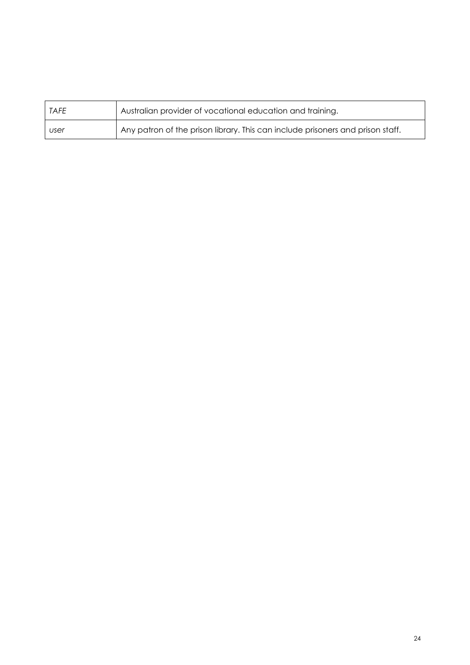| TAFE | Australian provider of vocational education and training.                      |
|------|--------------------------------------------------------------------------------|
| user | Any patron of the prison library. This can include prisoners and prison staff. |